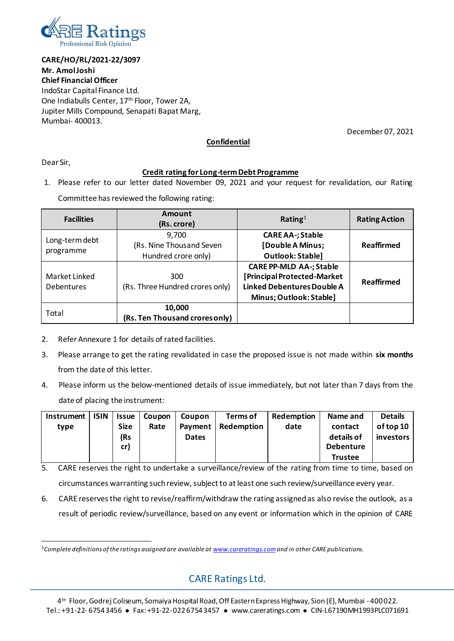

**CARE/HO/RL/2021-22/3097 Mr. Amol Joshi Chief Financial Officer** IndoStar Capital Finance Ltd. One Indiabulls Center, 17th Floor, Tower 2A, Jupiter Mills Compound, Senapati Bapat Marg, Mumbai- 400013.

December 07, 2021

### **Confidential**

Dear Sir,

#### **Credit rating for Long-term Debt Programme**

1. Please refer to our letter dated November 09, 2021 and your request for revalidation, our Rating

Committee has reviewed the following rating:

| <b>Facilities</b> | Amount<br>(Rs. crore)                        | Rating <sup>1</sup>               | <b>Rating Action</b> |  |  |
|-------------------|----------------------------------------------|-----------------------------------|----------------------|--|--|
| Long-term debt    | 9.700                                        | <b>CARE AA-; Stable</b>           |                      |  |  |
|                   | [Double A Minus;<br>(Rs. Nine Thousand Seven |                                   | <b>Reaffirmed</b>    |  |  |
| programme         | Hundred crore only)                          | Outlook: Stable]                  |                      |  |  |
|                   |                                              | <b>CARE PP-MLD AA-; Stable</b>    |                      |  |  |
| Market Linked     | 300                                          | [Principal Protected-Market       | Reaffirmed           |  |  |
| <b>Debentures</b> | (Rs. Three Hundred crores only)              | <b>Linked Debentures Double A</b> |                      |  |  |
|                   |                                              | Minus; Outlook: Stable]           |                      |  |  |
| Total             | 10,000                                       |                                   |                      |  |  |
|                   | (Rs. Ten Thousand crores only)               |                                   |                      |  |  |

- 2. Refer Annexure 1 for details of rated facilities.
- 3. Please arrange to get the rating revalidated in case the proposed issue is not made within **six months**  from the date of this letter.
- 4. Please inform us the below-mentioned details of issue immediately, but not later than 7 days from the date of placing the instrument:

| <b>Instrument</b> | <b>ISIN</b> | <b>Issue</b> | Coupon | <b>Coupon</b> | Terms of          | Redemption | Name and         | <b>Details</b> |
|-------------------|-------------|--------------|--------|---------------|-------------------|------------|------------------|----------------|
| type              |             | <b>Size</b>  | Rate   | Pavment       | <b>Redemption</b> | date       | contact          | of top 10      |
|                   |             | (Rs          |        | <b>Dates</b>  |                   |            | details of       | investors      |
|                   |             | cr)          |        |               |                   |            | <b>Debenture</b> |                |
|                   |             |              |        |               |                   |            | <b>Trustee</b>   |                |

5. CARE reserves the right to undertake a surveillance/review of the rating from time to time, based on circumstances warranting such review, subject to at least one such review/surveillance every year.

6. CARE reserves the right to revise/reaffirm/withdraw the rating assigned as also revise the outlook, as a result of periodic review/surveillance, based on any event or information which in the opinion of CARE

1*Complete definitions of the ratings assigned are available a[t www.careratings.com](http://www.careratings.com/)and in other CARE publications.*

## CARE Ratings Ltd.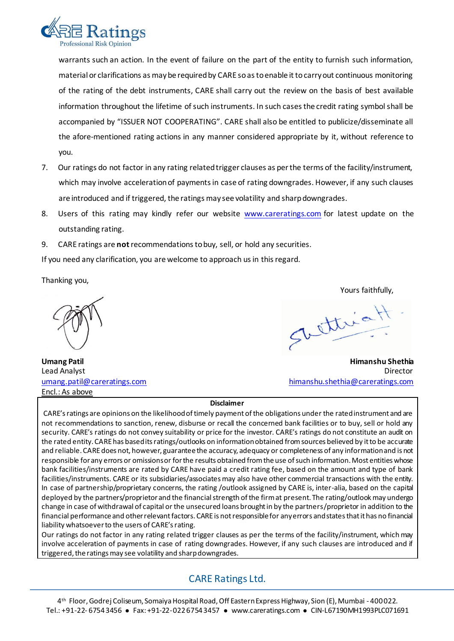

warrants such an action. In the event of failure on the part of the entity to furnish such information, material or clarifications as may be required by CARE so as to enable it to carry out continuous monitoring of the rating of the debt instruments, CARE shall carry out the review on the basis of best available information throughout the lifetime of such instruments. In such cases the credit rating symbol shall be accompanied by "ISSUER NOT COOPERATING". CARE shall also be entitled to publicize/disseminate all the afore-mentioned rating actions in any manner considered appropriate by it, without reference to you.

- 7. Our ratings do not factor in any rating related trigger clauses as per the terms of the facility/instrument, which may involve acceleration of payments in case of rating downgrades. However, if any such clauses are introduced and if triggered, the ratings may see volatility and sharp downgrades.
- 8. Users of this rating may kindly refer our website [www.careratings.com](http://www.careratings.com/) for latest update on the outstanding rating.
- 9. CARE ratings are **not**recommendations to buy, sell, or hold any securities.

If you need any clarification, you are welcome to approach us in this regard.

Thanking you,

Encl.: As above

Yours faithfully,

Sultino

**Umang Patil Himanshu Shethia** Lead Analyst Director [umang.patil@careratings.com](mailto:umang.patil@careratings.com) ethnology [himanshu.shethia@careratings.com](mailto:himanshu.shethia@careratings.com)

## **Disclaimer**

CARE's ratings are opinions on the likelihood of timely payment of the obligations under the rated instrument and are not recommendations to sanction, renew, disburse or recall the concerned bank facilities or to buy, sell or hold any security. CARE's ratings do not convey suitability or price for the investor. CARE's ratings do not constitute an audit on the rated entity. CARE has based its ratings/outlooks on information obtained from sources believed by it to be accurate and reliable. CARE does not, however, guarantee the accuracy, adequacy or completeness of any information and is not responsible for any errors or omissions or for the results obtained from the use of such information. Most entities whose bank facilities/instruments are rated by CARE have paid a credit rating fee, based on the amount and type of bank facilities/instruments. CARE or its subsidiaries/associates may also have other commercial transactions with the entity. In case of partnership/proprietary concerns, the rating /outlook assigned by CARE is, inter-alia, based on the capital deployed by the partners/proprietor and the financial strength of the firm at present. The rating/outlook may undergo change in case of withdrawal of capital or the unsecured loans brought in by the partners/proprietor in addition to the financial performance and other relevant factors. CARE is not responsible for any errors and states that it has no financial liability whatsoever to the users of CARE's rating.

Our ratings do not factor in any rating related trigger clauses as per the terms of the facility/instrument, which may involve acceleration of payments in case of rating downgrades. However, if any such clauses are introduced and if triggered, the ratings may see volatility and sharp downgrades.

# CARE Ratings Ltd.